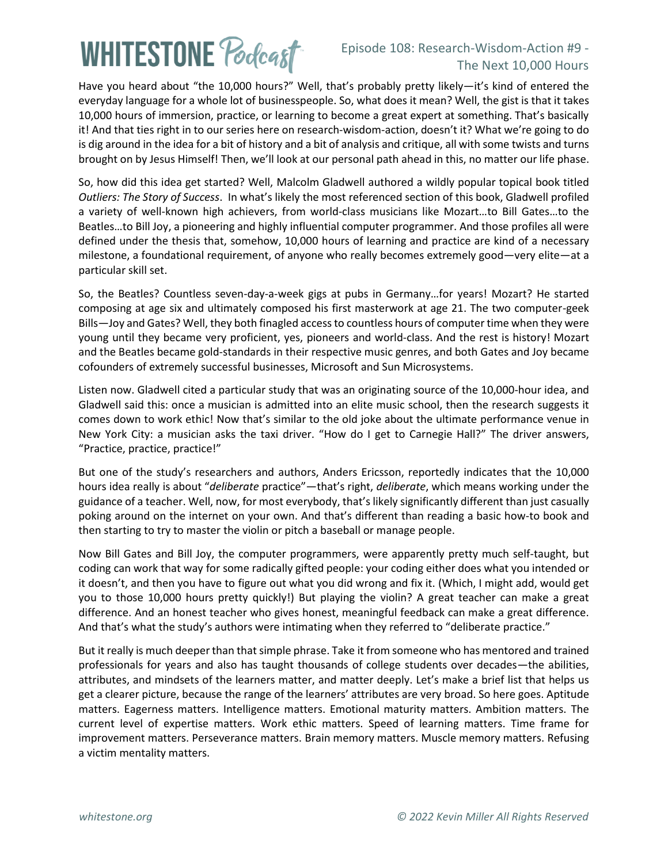## **WHITESTONE Podcast**

## Episode 108: Research-Wisdom-Action #9 - The Next 10,000 Hours

Have you heard about "the 10,000 hours?" Well, that's probably pretty likely—it's kind of entered the everyday language for a whole lot of businesspeople. So, what does it mean? Well, the gist is that it takes 10,000 hours of immersion, practice, or learning to become a great expert at something. That's basically it! And that ties right in to our series here on research-wisdom-action, doesn't it? What we're going to do is dig around in the idea for a bit of history and a bit of analysis and critique, all with some twists and turns brought on by Jesus Himself! Then, we'll look at our personal path ahead in this, no matter our life phase.

So, how did this idea get started? Well, Malcolm Gladwell authored a wildly popular topical book titled *Outliers: The Story of Success*. In what's likely the most referenced section of this book, Gladwell profiled a variety of well-known high achievers, from world-class musicians like Mozart…to Bill Gates…to the Beatles…to Bill Joy, a pioneering and highly influential computer programmer. And those profiles all were defined under the thesis that, somehow, 10,000 hours of learning and practice are kind of a necessary milestone, a foundational requirement, of anyone who really becomes extremely good—very elite—at a particular skill set.

So, the Beatles? Countless seven-day-a-week gigs at pubs in Germany…for years! Mozart? He started composing at age six and ultimately composed his first masterwork at age 21. The two computer-geek Bills—Joy and Gates? Well, they both finagled access to countless hours of computer time when they were young until they became very proficient, yes, pioneers and world-class. And the rest is history! Mozart and the Beatles became gold-standards in their respective music genres, and both Gates and Joy became cofounders of extremely successful businesses, Microsoft and Sun Microsystems.

Listen now. Gladwell cited a particular study that was an originating source of the 10,000-hour idea, and Gladwell said this: once a musician is admitted into an elite music school, then the research suggests it comes down to work ethic! Now that's similar to the old joke about the ultimate performance venue in New York City: a musician asks the taxi driver. "How do I get to Carnegie Hall?" The driver answers, "Practice, practice, practice!"

But one of the study's researchers and authors, Anders Ericsson, reportedly indicates that the 10,000 hours idea really is about "*deliberate* practice"—that's right, *deliberate*, which means working under the guidance of a teacher. Well, now, for most everybody, that's likely significantly different than just casually poking around on the internet on your own. And that's different than reading a basic how-to book and then starting to try to master the violin or pitch a baseball or manage people.

Now Bill Gates and Bill Joy, the computer programmers, were apparently pretty much self-taught, but coding can work that way for some radically gifted people: your coding either does what you intended or it doesn't, and then you have to figure out what you did wrong and fix it. (Which, I might add, would get you to those 10,000 hours pretty quickly!) But playing the violin? A great teacher can make a great difference. And an honest teacher who gives honest, meaningful feedback can make a great difference. And that's what the study's authors were intimating when they referred to "deliberate practice."

But it really is much deeper than that simple phrase. Take it from someone who has mentored and trained professionals for years and also has taught thousands of college students over decades—the abilities, attributes, and mindsets of the learners matter, and matter deeply. Let's make a brief list that helps us get a clearer picture, because the range of the learners' attributes are very broad. So here goes. Aptitude matters. Eagerness matters. Intelligence matters. Emotional maturity matters. Ambition matters. The current level of expertise matters. Work ethic matters. Speed of learning matters. Time frame for improvement matters. Perseverance matters. Brain memory matters. Muscle memory matters. Refusing a victim mentality matters.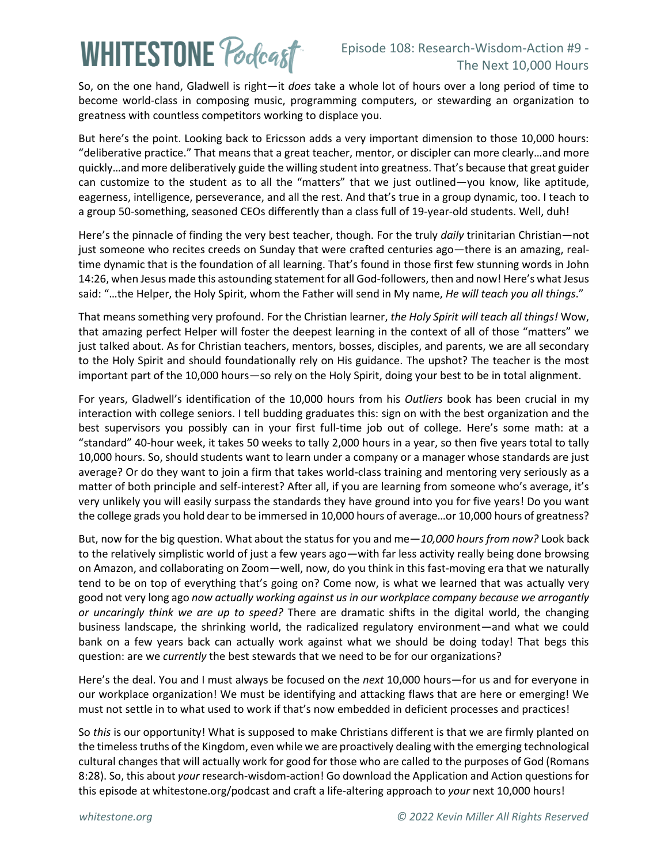## **WHITESTONE Podcast**

So, on the one hand, Gladwell is right—it *does* take a whole lot of hours over a long period of time to become world-class in composing music, programming computers, or stewarding an organization to greatness with countless competitors working to displace you.

But here's the point. Looking back to Ericsson adds a very important dimension to those 10,000 hours: "deliberative practice." That means that a great teacher, mentor, or discipler can more clearly…and more quickly…and more deliberatively guide the willing student into greatness. That's because that great guider can customize to the student as to all the "matters" that we just outlined—you know, like aptitude, eagerness, intelligence, perseverance, and all the rest. And that's true in a group dynamic, too. I teach to a group 50-something, seasoned CEOs differently than a class full of 19-year-old students. Well, duh!

Here's the pinnacle of finding the very best teacher, though. For the truly *daily* trinitarian Christian—not just someone who recites creeds on Sunday that were crafted centuries ago—there is an amazing, realtime dynamic that is the foundation of all learning. That's found in those first few stunning words in John 14:26, when Jesus made this astounding statement for all God-followers, then and now! Here's what Jesus said: "…the Helper, the Holy Spirit, whom the Father will send in My name, *He will teach you all things*."

That means something very profound. For the Christian learner, *the Holy Spirit will teach all things!* Wow, that amazing perfect Helper will foster the deepest learning in the context of all of those "matters" we just talked about. As for Christian teachers, mentors, bosses, disciples, and parents, we are all secondary to the Holy Spirit and should foundationally rely on His guidance. The upshot? The teacher is the most important part of the 10,000 hours—so rely on the Holy Spirit, doing your best to be in total alignment.

For years, Gladwell's identification of the 10,000 hours from his *Outliers* book has been crucial in my interaction with college seniors. I tell budding graduates this: sign on with the best organization and the best supervisors you possibly can in your first full-time job out of college. Here's some math: at a "standard" 40-hour week, it takes 50 weeks to tally 2,000 hours in a year, so then five years total to tally 10,000 hours. So, should students want to learn under a company or a manager whose standards are just average? Or do they want to join a firm that takes world-class training and mentoring very seriously as a matter of both principle and self-interest? After all, if you are learning from someone who's average, it's very unlikely you will easily surpass the standards they have ground into you for five years! Do you want the college grads you hold dear to be immersed in 10,000 hours of average…or 10,000 hours of greatness?

But, now for the big question. What about the status for you and me—*10,000 hours from now?* Look back to the relatively simplistic world of just a few years ago—with far less activity really being done browsing on Amazon, and collaborating on Zoom—well, now, do you think in this fast-moving era that we naturally tend to be on top of everything that's going on? Come now, is what we learned that was actually very good not very long ago *now actually working against us in our workplace company because we arrogantly or uncaringly think we are up to speed?* There are dramatic shifts in the digital world, the changing business landscape, the shrinking world, the radicalized regulatory environment—and what we could bank on a few years back can actually work against what we should be doing today! That begs this question: are we *currently* the best stewards that we need to be for our organizations?

Here's the deal. You and I must always be focused on the *next* 10,000 hours—for us and for everyone in our workplace organization! We must be identifying and attacking flaws that are here or emerging! We must not settle in to what used to work if that's now embedded in deficient processes and practices!

So *this* is our opportunity! What is supposed to make Christians different is that we are firmly planted on the timeless truths of the Kingdom, even while we are proactively dealing with the emerging technological cultural changes that will actually work for good for those who are called to the purposes of God (Romans 8:28). So, this about *your* research-wisdom-action! Go download the Application and Action questions for this episode at whitestone.org/podcast and craft a life-altering approach to *your* next 10,000 hours!